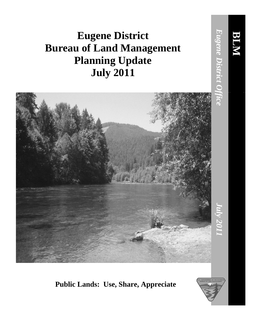## **Eugene District Bureau of Land Management Planning Update July 2011**



## **Public Lands: Use, Share, Appreciate**



**BLM**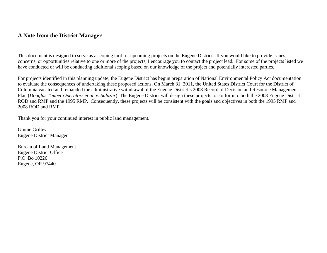## **A Note from the District Manager**

This document is designed to serve as a scoping tool for upcoming projects on the Eugene District. If you would like to provide issues, concerns, or opportunities relative to one or more of the projects, I encourage you to contact the project lead. For some of the projects listed we have conducted or will be conducting additional scoping based on our knowledge of the project and potentially interested parties.

For projects identified in this planning update, the Eugene District has begun preparation of National Environmental Policy Act documentation to evaluate the consequences of undertaking these proposed actions. On March 31, 2011, the United States District Court for the District of Columbia vacated and remanded the administrative withdrawal of the Eugene District's 2008 Record of Decision and Resource Management Plan (*Douglas Timber Operators et al. v. Salazar*). The Eugene District will design these projects to conform to both the 2008 Eugene District ROD and RMP and the 1995 RMP. Consequently, these projects will be consistent with the goals and objectives in both the 1995 RMP and 2008 ROD and RMP.

Thank you for your continued interest in public land management.

Ginnie Grilley Eugene District Manager

Bureau of Land Management Eugene District Office P.O. Bo 10226 Eugene, OR 97440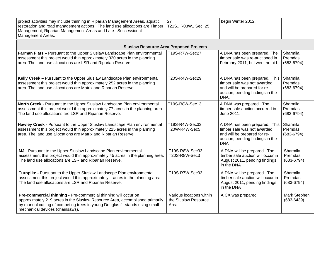| project activities may include thinning in Riparian Management Areas, aquatic<br>restoration and road management actions. The land use allocations are Timber<br>Management, Riparian Management Areas and Late-Successional<br>Management Areas.                  | 27<br>T21S., R03W., Sec. 25                               | begin Winter 2012.                                                                                                                             |                                       |  |  |
|--------------------------------------------------------------------------------------------------------------------------------------------------------------------------------------------------------------------------------------------------------------------|-----------------------------------------------------------|------------------------------------------------------------------------------------------------------------------------------------------------|---------------------------------------|--|--|
| <b>Siuslaw Resource Area Proposed Projects</b>                                                                                                                                                                                                                     |                                                           |                                                                                                                                                |                                       |  |  |
| Farman Flats - Pursuant to the Upper Siuslaw Landscape Plan environmental<br>assessment this project would thin approximately 320 acres in the planning<br>area. The land use allocations are LSR and Riparian Reserve.                                            | T19S-R7W-Sec27                                            | A DNA has been prepared. The<br>timber sale was re-auctioned in<br>February 2011, but went no bid.                                             | Sharmila<br>Premdas<br>$(683 - 6794)$ |  |  |
| Kelly Creek - Pursuant to the Upper Siuslaw Landscape Plan environmental<br>assessment this project would thin approximately 252 acres in the planning<br>area. The land use allocations are Matrix and Riparian Reserve.                                          | T20S-R4W-Sec29                                            | A DNA has been prepared. This<br>timber sale was not awarded<br>and will be prepared for re-<br>auction, pending findings in the<br>DNA.       | Sharmila<br>Premdas<br>$(683 - 6794)$ |  |  |
| North Creek - Pursuant to the Upper Siuslaw Landscape Plan environmental<br>assessment this project would thin approximately 77 acres in the planning area.<br>The land use allocations are LSR and Riparian Reserve.                                              | T19S-R8W-Sec13                                            | A DNA was prepared. The<br>timber sale auction occurred in<br>June 2011.                                                                       | Sharmila<br>Premdas<br>$(683 - 6794)$ |  |  |
| Hawley Creek - Pursuant to the Upper Siuslaw Landscape Plan environmental<br>assessment this project would thin approximately 225 acres in the planning<br>area. The land use allocations are Matrix and Riparian Reserve.                                         | T19S-R4W-Sec33<br>T20W-R4W-Sec5                           | A DNA has been prepared. This<br>timber sale was not awarded<br>and will be prepared for re-<br>auction, pending findings in the<br><b>DNA</b> | Sharmila<br>Premdas<br>$(683-6794)$   |  |  |
| MJ - Pursuant to the Upper Siuslaw Landscape Plan environmental<br>assessment this project would thin approximately 45 acres in the planning area.<br>The land use allocations are LSR and Riparian Reserve.                                                       | T19S-R8W-Sec33<br>T20S-R8W-Sec3                           | A DNA will be prepared. The<br>timber sale auction will occur in<br>August 2011, pending findings<br>in the DNA                                | Sharmila<br>Premdas<br>$(683 - 6794)$ |  |  |
| Turnpike - Pursuant to the Upper Siuslaw Landscape Plan environmental<br>assessment this project would thin approximately acres in the planning area.<br>The land use allocations are LSR and Riparian Reserve.                                                    | T19S-R7W-Sec33                                            | A DNA will be prepared. The<br>timber sale auction will occur in<br>August 2011, pending findings<br>in the DNA                                | Sharmila<br>Premdas<br>$(683 - 6794)$ |  |  |
| Pre-commercial thinning - Pre-commercial thinning will occur on<br>approximately 219 acres in the Siuslaw Resource Area, accomplished primarily<br>by manual cutting of competing trees in young Douglas fir stands using small<br>mechanical devices (chainsaws). | Various locations within<br>the Siuslaw Resource<br>Area. | A CX was prepared                                                                                                                              | Mark Stephen<br>$(683 - 6439)$        |  |  |